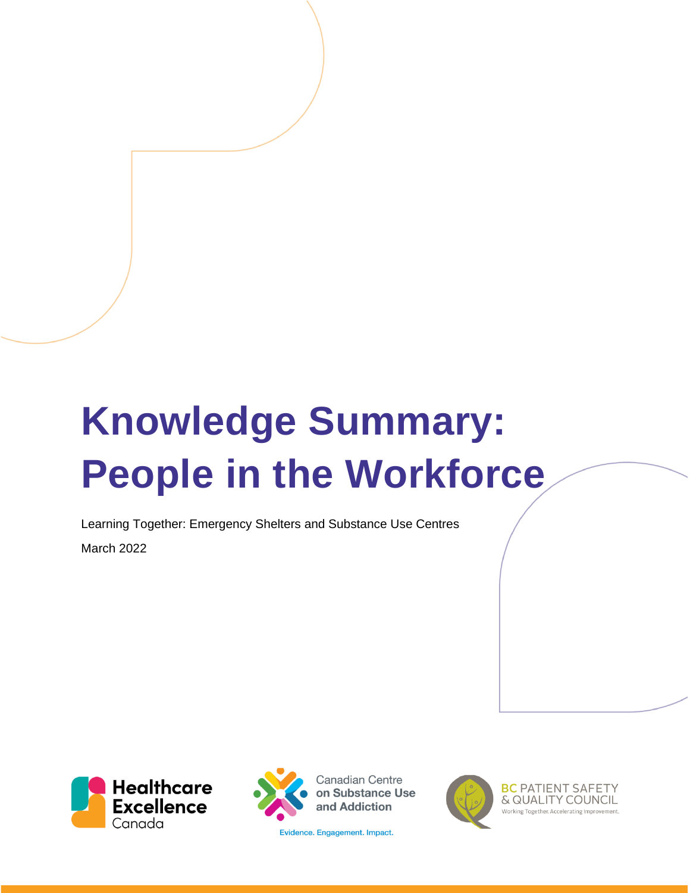# **Knowledge Summary: People in the Workforce**

Learning Together: Emergency Shelters and Substance Use Centres March 2022





**Canadian Centre** on Substance Use and Addiction

Evidence. Engagement. Impact.



**BC PATIENT SAFETY** & QUALITY COUNCIL Working Together, Accelerating Improve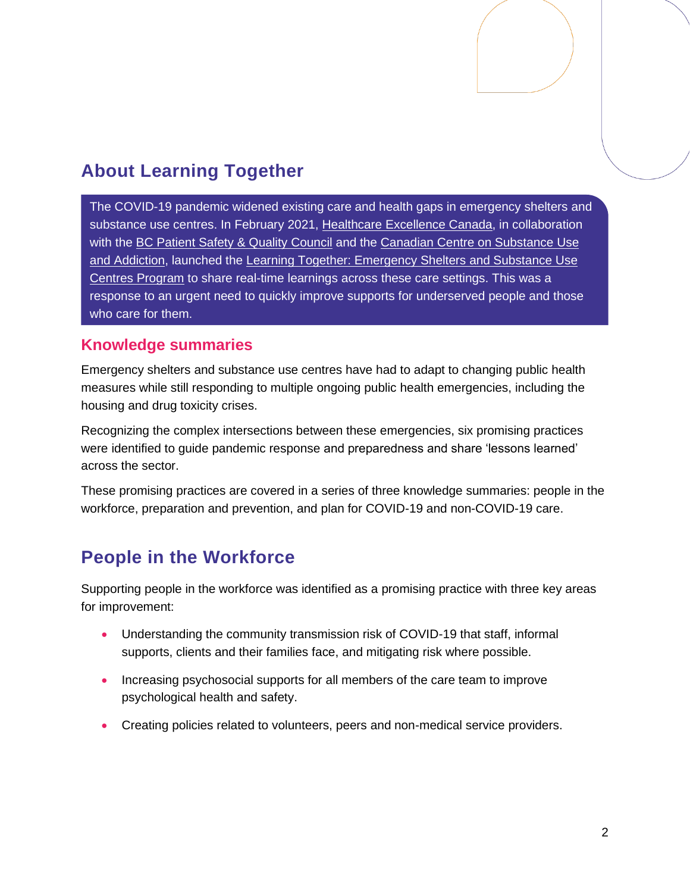## **About Learning Together**

The COVID-19 pandemic widened existing care and health gaps in emergency shelters and substance use centres. In February 2021, [Healthcare Excellence Canada,](https://www.healthcareexcellence.ca/) in collaboration with the [BC Patient Safety & Quality Council](https://bcpsqc.ca/) and the [Canadian Centre on Substance Use](https://www.ccsa.ca/)  [and Addiction,](https://www.ccsa.ca/) launched the Learning Together: Emergency Shelters and Substance Use [Centres Program](https://www.healthcareexcellence.ca/en/what-we-do/what-we-do-together/learning-together-emergency-shelters-and-substance-use-centres/) to share real-time learnings across these care settings. This was a response to an urgent need to quickly improve supports for underserved people and those who care for them.

#### **Knowledge summaries**

Emergency shelters and substance use centres have had to adapt to changing public health measures while still responding to multiple ongoing public health emergencies, including the housing and drug toxicity crises.

Recognizing the complex intersections between these emergencies, six promising practices were identified to guide pandemic response and preparedness and share 'lessons learned' across the sector.

These promising practices are covered in a series of three knowledge summaries: people in the workforce, preparation and prevention, and plan for COVID-19 and non-COVID-19 care.

## **People in the Workforce**

Supporting people in the workforce was identified as a promising practice with three key areas for improvement:

- Understanding the community transmission risk of COVID-19 that staff, informal supports, clients and their families face, and mitigating risk where possible.
- Increasing psychosocial supports for all members of the care team to improve psychological health and safety.
- Creating policies related to volunteers, peers and non-medical service providers.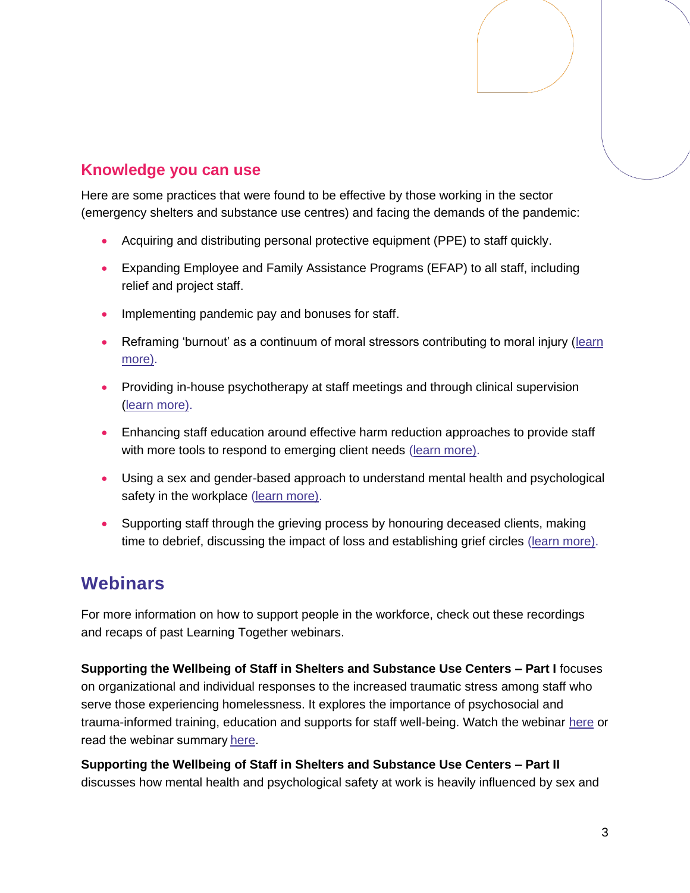### **Knowledge you can use**

Here are some practices that were found to be effective by those working in the sector (emergency shelters and substance use centres) and facing the demands of the pandemic:

- Acquiring and distributing personal protective equipment (PPE) to staff quickly.
- Expanding Employee and Family Assistance Programs (EFAP) to all staff, including relief and project staff.
- Implementing pandemic pay and bonuses for staff.
- Reframing 'burnout' as a continuum of moral stressors contributing to moral injury (learn [more\)](https://www.moralinjuryguide.ca/wp-content/uploads/2020/07/Moral-Injury-Guide.pdf).
- Providing in-house psychotherapy at staff meetings and through clinical supervision [\(learn more\)](https://www.youtube.com/watch?v=SPGbbNdlXyA&list=PLXppU70IRw-GhOb7cPGZli0VlGzomBxP0&index=4).
- Enhancing staff education around effective harm reduction approaches to provide staff with more tools to respond to emerging client needs [\(learn more\)](https://www.youtube.com/watch?v=Mj2REcUvoWE&list=PLXppU70IRw-GhOb7cPGZli0VlGzomBxP0&index=5).
- Using a sex and gender-based approach to understand mental health and psychological safety in the workplace [\(learn more\)](https://www.healthyprofwork.com/sgba-toolkits).
- Supporting staff through the grieving process by honouring deceased clients, making time to debrief, discussing the impact of loss and establishing grief circles [\(learn more\)](https://www.icha-toronto.ca/sites/default/files/PEACH%20Resource%20for%20Frontline%20Workers%20Caring%20for%20Clients%20Experiencing%20Homelessness%20in%20COVID%2019.pdf).

## **Webinars**

For more information on how to support people in the workforce, check out these recordings and recaps of past Learning Together webinars.

**Supporting the Wellbeing of Staff in Shelters and Substance Use Centers – Part I** focuses on organizational and individual responses to the increased traumatic stress among staff who serve those experiencing homelessness. It explores the importance of psychosocial and trauma-informed training, education and supports for staff well-being. Watch the webinar [here](https://www.youtube.com/watch?v=SPGbbNdlXyA&list=PLXppU70IRw-GhOb7cPGZli0VlGzomBxP0&index=4) or read the webinar summar[y here.](https://www.healthcareexcellence.ca/media/gdom2wqy/april-28-webinar-summary-en.pdf)

**Supporting the Wellbeing of Staff in Shelters and Substance Use Centers – Part II** discusses how mental health and psychological safety at work is heavily influenced by sex and